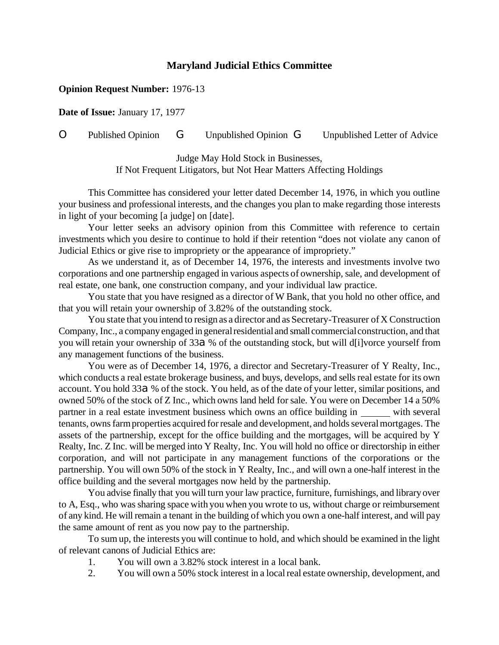## **Maryland Judicial Ethics Committee**

## **Opinion Request Number:** 1976-13

**Date of Issue:** January 17, 1977

## O Published Opinion G Unpublished Opinion G Unpublished Letter of Advice

Judge May Hold Stock in Businesses, If Not Frequent Litigators, but Not Hear Matters Affecting Holdings

This Committee has considered your letter dated December 14, 1976, in which you outline your business and professional interests, and the changes you plan to make regarding those interests in light of your becoming [a judge] on [date].

Your letter seeks an advisory opinion from this Committee with reference to certain investments which you desire to continue to hold if their retention "does not violate any canon of Judicial Ethics or give rise to impropriety or the appearance of impropriety."

As we understand it, as of December 14, 1976, the interests and investments involve two corporations and one partnership engaged in various aspects of ownership, sale, and development of real estate, one bank, one construction company, and your individual law practice.

You state that you have resigned as a director of W Bank, that you hold no other office, and that you will retain your ownership of 3.82% of the outstanding stock.

You state that you intend to resign as a director and as Secretary-Treasurer of X Construction Company, Inc., a company engaged in general residential and small commercial construction, and that you will retain your ownership of 33 $a$ % of the outstanding stock, but will d[i]vorce yourself from any management functions of the business.

You were as of December 14, 1976, a director and Secretary-Treasurer of Y Realty, Inc., which conducts a real estate brokerage business, and buys, develops, and sells real estate for its own account. You hold 33 $a$ % of the stock. You held, as of the date of your letter, similar positions, and owned 50% of the stock of Z Inc., which owns land held for sale. You were on December 14 a 50% partner in a real estate investment business which owns an office building in with several tenants, owns farm properties acquired for resale and development, and holds several mortgages. The assets of the partnership, except for the office building and the mortgages, will be acquired by Y Realty, Inc. Z Inc. will be merged into Y Realty, Inc. You will hold no office or directorship in either corporation, and will not participate in any management functions of the corporations or the partnership. You will own 50% of the stock in Y Realty, Inc., and will own a one-half interest in the office building and the several mortgages now held by the partnership.

You advise finally that you will turn your law practice, furniture, furnishings, and library over to A, Esq., who was sharing space with you when you wrote to us, without charge or reimbursement of any kind. He will remain a tenant in the building of which you own a one-half interest, and will pay the same amount of rent as you now pay to the partnership.

To sum up, the interests you will continue to hold, and which should be examined in the light of relevant canons of Judicial Ethics are:

- 1. You will own a 3.82% stock interest in a local bank.
- 2. You will own a 50% stock interest in a localreal estate ownership, development, and